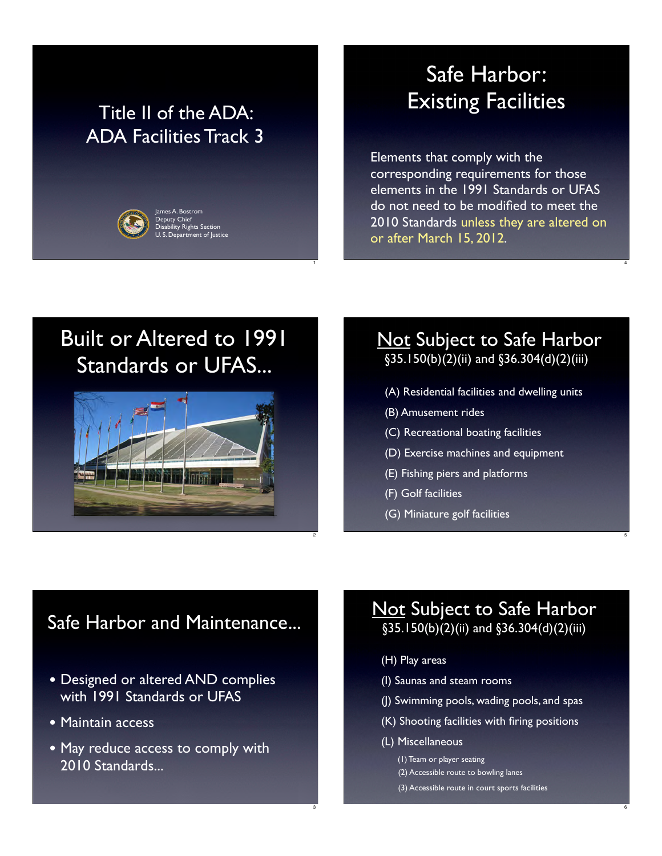#### Title II of the ADA: ADA Facilities Track 3

ty Rights Se

1

2

3



### Safe Harbor: Existing Facilities

Elements that comply with the corresponding requirements for those elements in the 1991 Standards or UFAS do not need to be modified to meet the 2010 Standards unless they are altered on or after March 15, 2012.

4

5

6

# Built or Altered to 1991 Standards or UFAS...



#### Not Subject to Safe Harbor §35.150(b)(2)(ii) and §36.304(d)(2)(iii)

- (A) Residential facilities and dwelling units
- (B) Amusement rides
- (C) Recreational boating facilities
- (D) Exercise machines and equipment
- (E) Fishing piers and platforms
- (F) Golf facilities
- (G) Miniature golf facilities

#### Safe Harbor and Maintenance...

- Designed or altered AND complies with 1991 Standards or UFAS
- Maintain access
- May reduce access to comply with 2010 Standards...

#### **Not Subject to Safe Harbor** §35.150(b)(2)(ii) and §36.304(d)(2)(iii)

- (H) Play areas
- (I) Saunas and steam rooms
- (J) Swimming pools, wading pools, and spas
- (K) Shooting facilities with firing positions
- (L) Miscellaneous

 (1) Team or player seating (2) Accessible route to bowling lanes (3) Accessible route in court sports facilities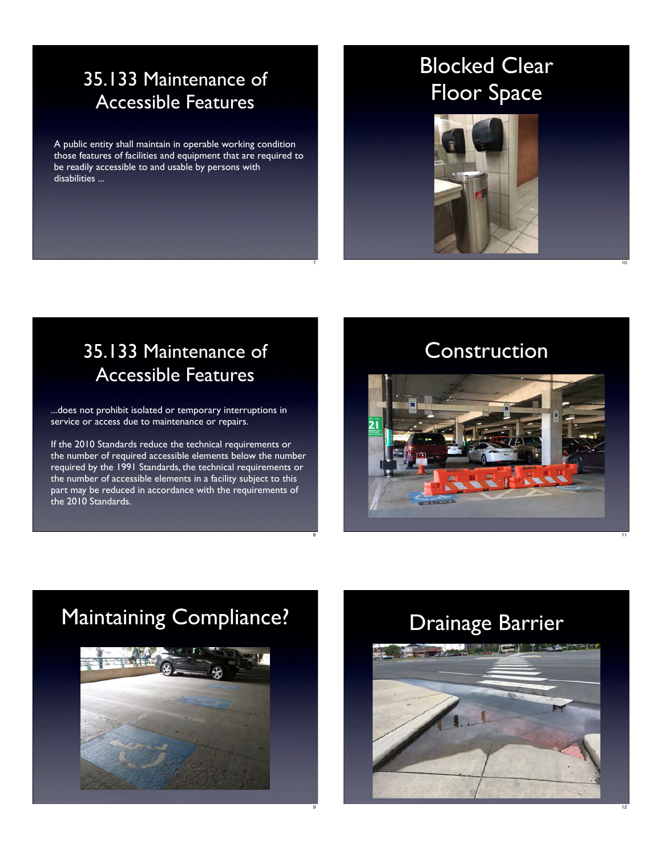#### 35.133 Maintenance of Accessible Features

A public entity shall maintain in operable working condition those features of facilities and equipment that are required to be readily accessible to and usable by persons with disabilities ...

# Blocked Clear Floor Space



#### 35.133 Maintenance of Accessible Features

...does not prohibit isolated or temporary interruptions in service or access due to maintenance or repairs.

If the 2010 Standards reduce the technical requirements or the number of required accessible elements below the number required by the 1991 Standards, the technical requirements or the number of accessible elements in a facility subject to this part may be reduced in accordance with the requirements of the 2010 Standards.

#### Construction

10

12



# Maintaining Compliance?



# Drainage Barrier



7

8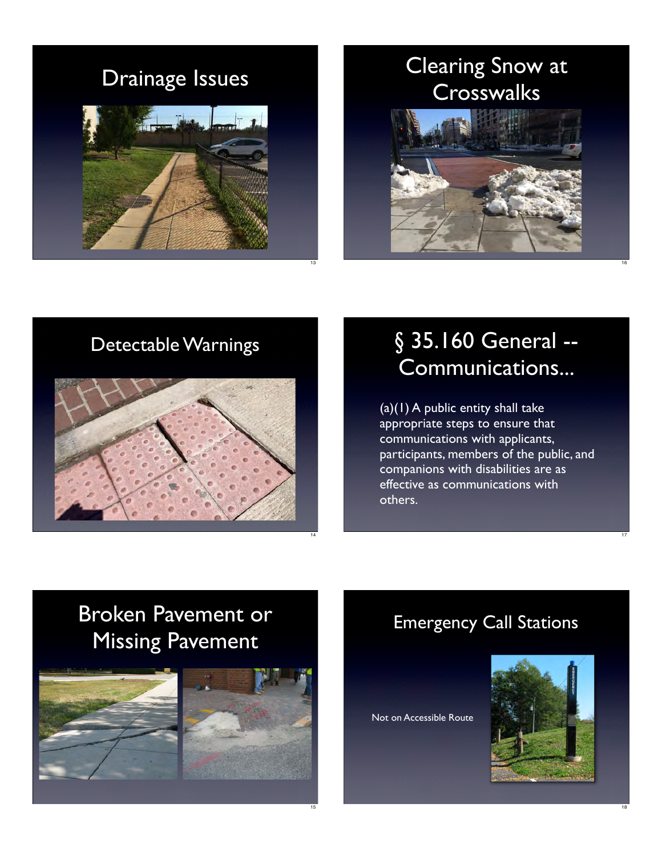### Drainage Issues



### Clearing Snow at **Crosswalks**



#### Detectable Warnings



# § 35.160 General --Communications...

16

17

18

(a)(1) A public entity shall take appropriate steps to ensure that communications with applicants, participants, members of the public, and companions with disabilities are as effective as communications with others.

# Broken Pavement or Missing Pavement





#### Emergency Call Stations

Not on Accessible Route

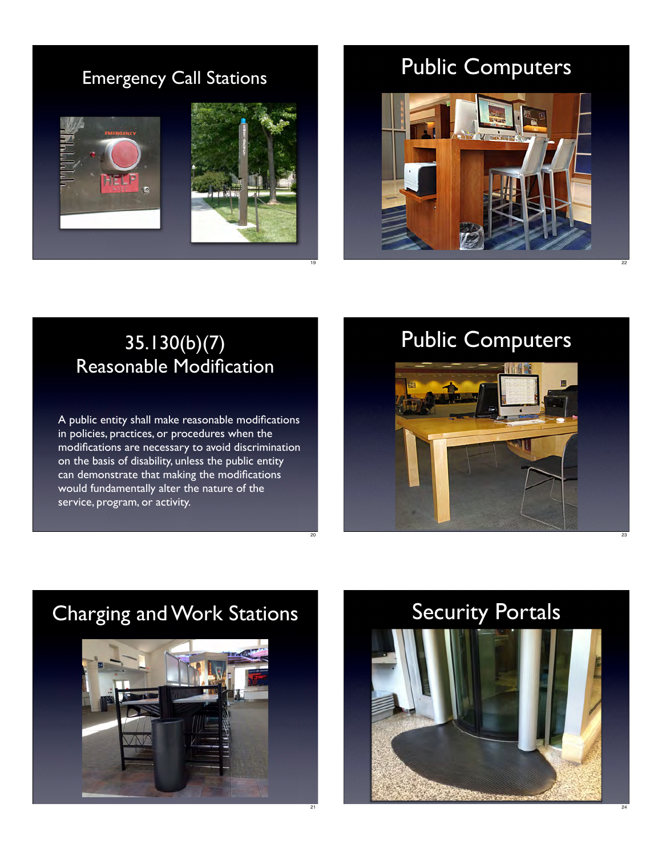#### Emergency Call Stations



# Public Computers



#### 35.130(b)(7) Reasonable Modification

19

20

A public entity shall make reasonable modifications in policies, practices, or procedures when the modifications are necessary to avoid discrimination on the basis of disability, unless the public entity can demonstrate that making the modifications would fundamentally alter the nature of the service, program, or activity.

# Public Computers

22





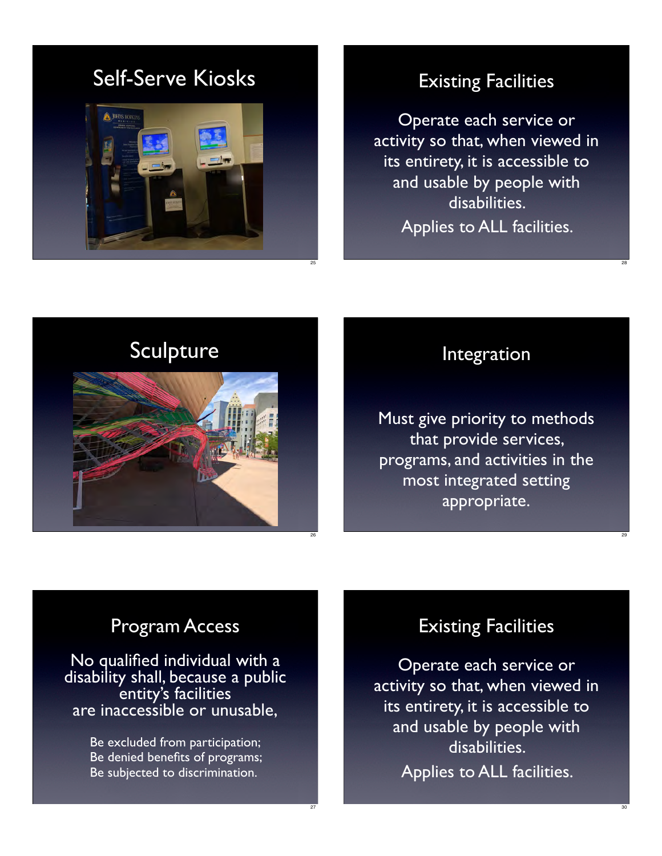### Self-Serve Kiosks



#### Existing Facilities

Operate each service or activity so that, when viewed in its entirety, it is accessible to and usable by people with disabilities. Applies to ALL facilities.

### Sculpture



#### Integration

28

29

30

Must give priority to methods that provide services, programs, and activities in the most integrated setting appropriate.

#### Program Access

No qualified individual with a disability shall, because a public entity's facilities are inaccessible or unusable,

> Be excluded from participation; Be denied benefits of programs; Be subjected to discrimination.

> > 27

#### Existing Facilities

Operate each service or activity so that, when viewed in its entirety, it is accessible to and usable by people with disabilities. Applies to ALL facilities.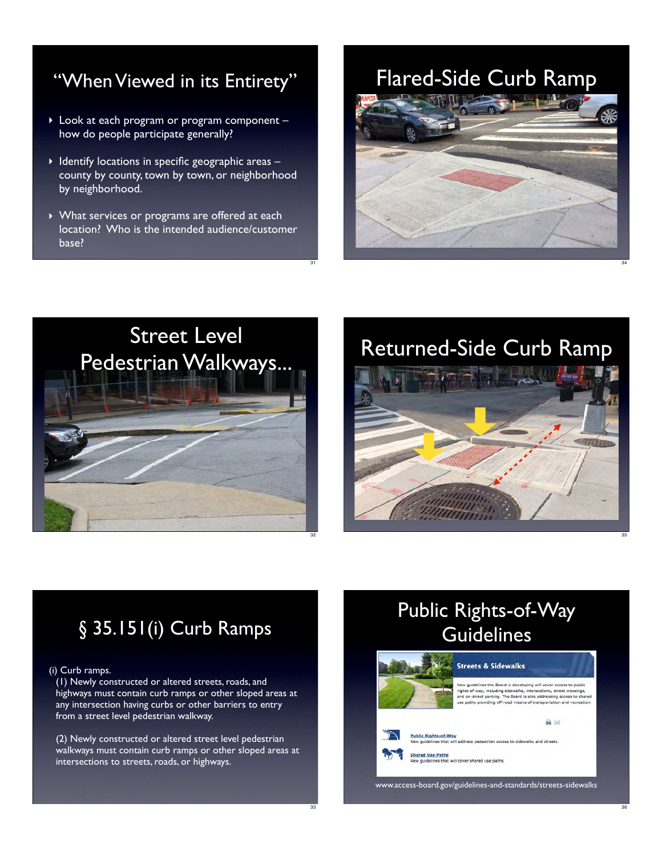#### "When Viewed in its Entirety"

- ‣ Look at each program or program component how do people participate generally?
- $\blacktriangleright$  Identify locations in specific geographic areas  $$ county by county, town by town, or neighborhood by neighborhood.
- ‣ What services or programs are offered at each location? Who is the intended audience/customer base?

#### Flared-Side Curb Ramp



34

35

36



### Returned-Side Curb Ramp



### § 35.151(i) Curb Ramps

#### (i) Curb ramps.

(1) Newly constructed or altered streets, roads, and highways must contain curb ramps or other sloped areas at any intersection having curbs or other barriers to entry from a street level pedestrian walkway.

(2) Newly constructed or altered street level pedestrian walkways must contain curb ramps or other sloped areas at intersections to streets, roads, or highways.

### Public Rights-of-Way **Guidelines**



ew guidelines the Board is developing will cover access to public<br>ghts-of-way, including sidewalks, intersections, street crossings,<br>nd on-street parking. The Board is also addressing access to sha<br>se paths providing off-r

address pedestrian access to sidewalks and streets

Shared Use Paths<br>New guidelines that will cover shared use paths.

www.access-board.gov/guidelines-and-standards/streets-sidewalks

31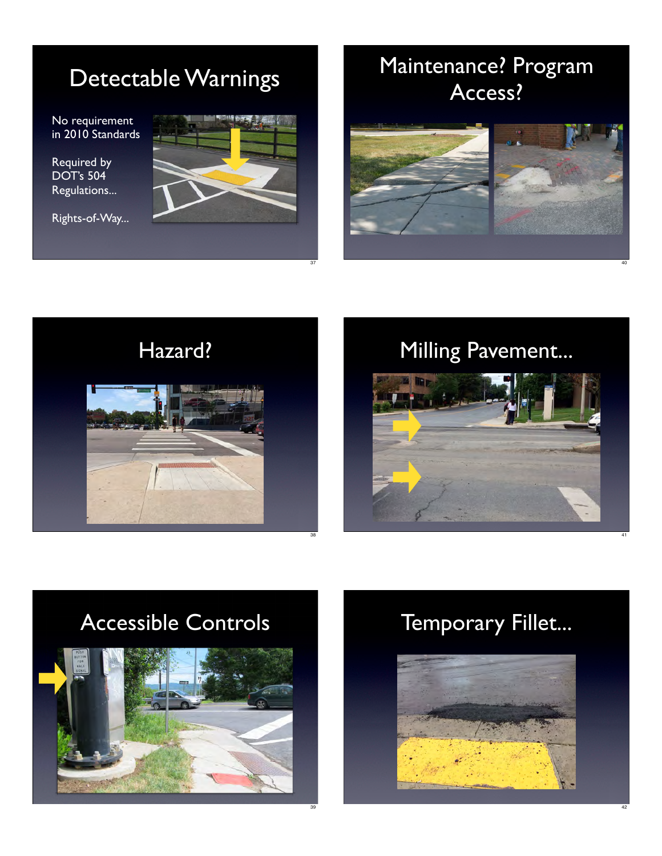# Detectable Warnings

No requirement in 2010 Standards

Required by DOT's 504 Regulations...

Rights-of-Way...



37

# Maintenance? Program Access?





# Milling Pavement...

40

42



# Accessible Controls



# Temporary Fillet...